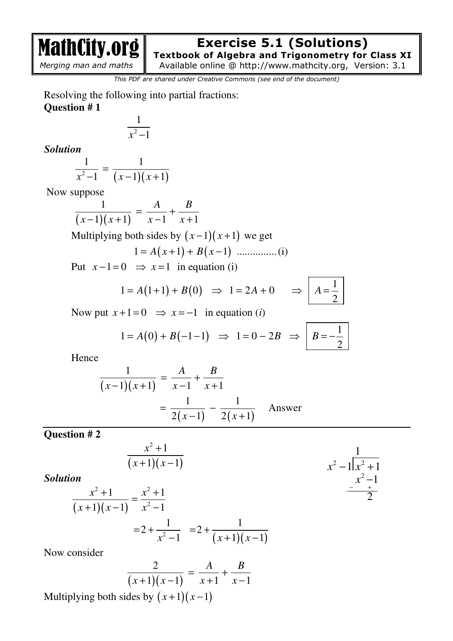MathCity.org *Merging man and maths* 

# **Exercise 5.1 (Solutions)**

**Textbook of Algebra and Trigonometry for Class XI**  Available online @ http://www.mathcity.org, Version: 3.1

*This PDF are shared under Creative Commons (see end of the document)* 

Resolving the following into partial fractions: **Question # 1** 

$$
\frac{1}{x^2-1}
$$

*Solution* 

$$
\frac{1}{x^2 - 1} = \frac{1}{(x - 1)(x + 1)}
$$

Now suppose

$$
\frac{1}{(x-1)(x+1)} = \frac{A}{x-1} + \frac{B}{x+1}
$$
  
Multiplying both sides by  $(x-1)(x+1)$  we get

1 1 1 ............... = + + − *A x B x* ( ) ( ) (i)

Put  $x-1=0$   $\Rightarrow$   $x=1$  in equation (i)

$$
1 = A(1+1) + B(0) \Rightarrow 1 = 2A + 0 \Rightarrow A = \frac{1}{2}
$$

Now put  $x+1=0$   $\implies$   $x=-1$  in equation (*i*)

$$
1 = A(0) + B(-1-1) \Rightarrow 1 = 0 - 2B \Rightarrow B = -\frac{1}{2}
$$

2  $1 \times 2$ 

 $x^2 - 1|x$ 

2

 $\frac{x^2}{1}$ 

1

2

−

 $1 | x^2 + 1$ 

1

 $-1|x^2 +$ 

Hence

$$
\frac{1}{(x-1)(x+1)} = \frac{A}{x-1} + \frac{B}{x+1}
$$

$$
= \frac{1}{2(x-1)} - \frac{1}{2(x+1)}
$$
 Answer

**Question # 2** 

$$
\frac{x^2+1}{(x+1)(x-1)}
$$

*Solution* 

$$
\frac{x^2+1}{(x+1)(x-1)} = \frac{x^2+1}{x^2-1}
$$
  
= 2 +  $\frac{1}{x^2-1}$  = 2 +  $\frac{1}{(x+1)(x-1)}$ 

Now consider

$$
\frac{2}{(x+1)(x-1)} = \frac{A}{x+1} + \frac{B}{x-1}
$$

Multiplying both sides by  $(x+1)(x-1)$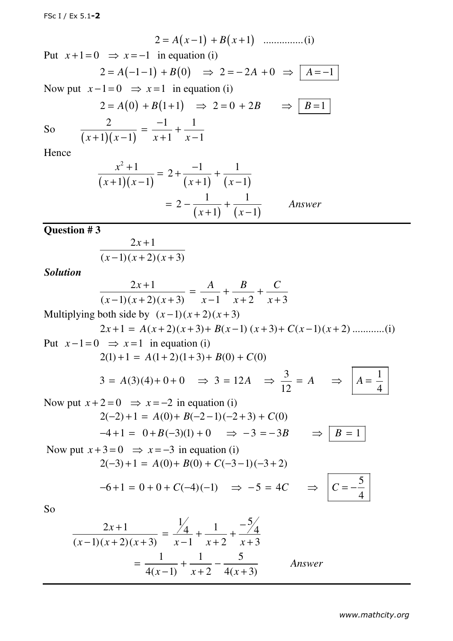2 1 1 ............... = − + + *A x B x* ( ) ( ) (i) Put  $x+1=0$   $\Rightarrow$   $x=-1$  in equation (i)  $2 = A(-1-1) + B(0) \implies 2 = -2A + 0 \implies \boxed{A = -1}$ Now put  $x-1=0$   $\Rightarrow$   $x=1$  in equation (i)  $2 = A(0) + B(1+1) \implies 2 = 0 + 2B \implies \boxed{B=1}$ So  $\frac{2}{(x+1)(x-1)}$ 2  $-1$  1  $(x+1)(x-1)$   $x+1$   $x-1$ −  $=$   $\frac{1}{4}$  +  $(x-1)$   $x+1$   $x-$ 

Hence

$$
\frac{x^2+1}{(x+1)(x-1)} = 2 + \frac{-1}{(x+1)} + \frac{1}{(x-1)}
$$
  
=  $2 - \frac{1}{(x+1)} + \frac{1}{(x-1)}$  Answer

## **Question # 3**

$$
\frac{2x+1}{(x-1)(x+2)(x+3)}
$$

*Solution* 

$$
\frac{2x+1}{(x-1)(x+2)(x+3)} = \frac{A}{x-1} + \frac{B}{x+2} + \frac{C}{x+3}
$$

Multiplying both side by  $(x-1)(x+2)(x+3)$ 

$$
2x+1 = A(x+2)(x+3) + B(x-1)(x+3) + C(x-1)(x+2) \dots \dots \dots \dots (i)
$$
  
Put  $x-1=0 \Rightarrow x=1$  in equation (i)  

$$
2(1) + 1 = A(1+2)(1+3) + B(0) + C(0)
$$

$$
3 = A(3)(4) + 0 + 0 \implies 3 = 12A \implies \frac{3}{12} = A \implies A = \frac{1}{4}
$$

Now put 
$$
x + 2 = 0 \Rightarrow x = -2
$$
 in equation (i)  
\n $2(-2) + 1 = A(0) + B(-2 - 1)(-2 + 3) + C(0)$   
\n $-4 + 1 = 0 + B(-3)(1) + 0 \Rightarrow -3 = -3B \Rightarrow B = 1$   
\nNow put  $x + 3 = 0 \Rightarrow x = -3$  in equation (i)  
\n $2(-3) + 1 = A(0) + B(0) + C(-3 - 1)(-3 + 2)$ 

$$
-6+1 = 0 + 0 + C(-4)(-1) \Rightarrow -5 = 4C \Rightarrow C = -\frac{5}{4}
$$

So

$$
\frac{2x+1}{(x-1)(x+2)(x+3)} = \frac{\frac{1}{4}}{x-1} + \frac{1}{x+2} + \frac{-\frac{5}{4}}{x+3}
$$

$$
= \frac{1}{4(x-1)} + \frac{1}{x+2} - \frac{5}{4(x+3)}
$$
 Answer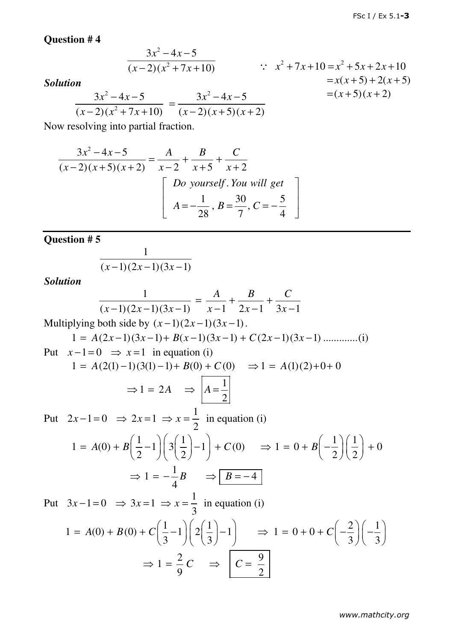#### **Question # 4**

$$
\frac{3x^2 - 4x - 5}{(x - 2)(x^2 + 7x + 10)} \qquad \qquad \therefore \quad x^2 + 7x + 10 = x^2 + 5x + 2x + 10
$$
  
= x(x + 5) + 2(x + 5)  
= (x + 5)(x + 2)

*Solution* 

$$
\frac{3x^2 - 4x - 5}{(x-2)(x^2 + 7x + 10)} = \frac{3x^2 - 4x - 5}{(x-2)(x+5)(x+2)}
$$

Now resolving into partial fraction.

$$
\frac{3x^2 - 4x - 5}{(x - 2)(x + 5)(x + 2)} = \frac{A}{x - 2} + \frac{B}{x + 5} + \frac{C}{x + 2}
$$
  
\n
$$
\left[\begin{array}{c}Do\text{ yourself. You will get} \\ A = -\frac{1}{28}, B = \frac{30}{7}, C = -\frac{5}{4} \end{array}\right]
$$

## **Question # 5**

$$
\frac{1}{(x-1)(2x-1)(3x-1)}
$$

*Solution* 

$$
\frac{1}{(x-1)(2x-1)(3x-1)} = \frac{A}{x-1} + \frac{B}{2x-1} + \frac{C}{3x-1}
$$

Multiplying both side by  $(x-1)(2x-1)(3x-1)$ .

$$
1 = A(2x-1)(3x-1) + B(x-1)(3x-1) + C(2x-1)(3x-1) \dots \dots \dots \dots (i)
$$

Put  $x-1=0$   $\Rightarrow$   $x=1$  in equation (i)

$$
1 = A(2(1) - 1)(3(1) - 1) + B(0) + C(0) \implies 1 = A(1)(2) + 0 + 0
$$
  

$$
\implies 1 = 2A \implies A = \frac{1}{2}
$$
Put  $2x - 1 = 0 \implies 2x = 1 \implies x = \frac{1}{2}$  in equation (i)

Let 
$$
2x - 1 = 0 \implies 2x = 1 \implies x = \frac{1}{2}
$$
 in equation (i)

\n
$$
1 = A(0) + B\left(\frac{1}{2} - 1\right)\left(3\left(\frac{1}{2}\right) - 1\right) + C(0) \implies 1 = 0 + B\left(-\frac{1}{2}\right)\left(\frac{1}{2}\right) + 0
$$
\n
$$
\implies 1 = -\frac{1}{4}B \implies B = -4
$$
\nLet  $2x - 1 = 0 \implies 2x - 1 = 0 \implies 2x = 1 \implies x = \frac{1}{2}$  is a specific solution (i).

Put  $3x-1=0 \Rightarrow 3x=1 \Rightarrow x=\frac{1}{2}$ 3  $x-1=0$   $\Rightarrow$   $3x=1$   $\Rightarrow$   $x=\frac{1}{2}$  in equation (i)  $1 = A(0) + B(0) + C\left(\frac{1}{2} - 1\right)\left(2\left(\frac{1}{2}\right) - 1\right)$ 3 八 (3  $A(0) + B(0) + C\left(\frac{1}{2} - 1\right)\left(2\left(\frac{1}{2}\right) - 1\right)$ = A(0) + B(0) + C $\left(\frac{1}{3} - 1\right)\left(2\left(\frac{1}{3}\right) - 1\right)$   $\Rightarrow$  1 = 0 + 0 + C $\left(-\frac{2}{3}\right)\left(-\frac{1}{3}\right)$  $3/$  3 *C*  $\Rightarrow$  1 = 0 + 0 +  $C\left(-\frac{2}{3}\right)\left(-\frac{1}{3}\right)$ 2 1 9  $\Rightarrow$  1 =  $\frac{2}{3}C$   $\Rightarrow$   $C = \frac{9}{3}$ 2  $\Rightarrow$   $|C=$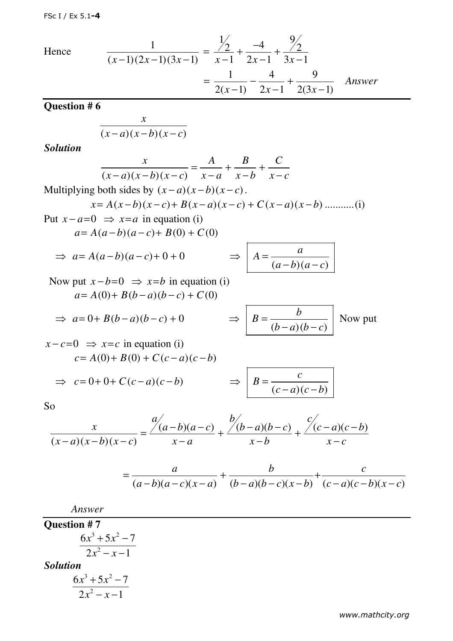Hence

$$
\frac{1}{(x-1)(2x-1)(3x-1)} = \frac{\frac{1}{2}}{x-1} + \frac{-4}{2x-1} + \frac{\frac{9}{2}}{3x-1}
$$

$$
= \frac{1}{2(x-1)} - \frac{4}{2x-1} + \frac{9}{2(3x-1)} \quad \text{Answer}
$$

**Question # 6** 

$$
\frac{x}{(x-a)(x-b)(x-c)}
$$

*Solution* 

$$
\frac{x}{(x-a)(x-b)(x-c)} = \frac{A}{x-a} + \frac{B}{x-b} + \frac{C}{x-c}
$$
  
Multiplying both sides by  $(x-a)(x-b)(x-c)$ .

$$
x = A(x-b)(x-c) + B(x-a)(x-c) + C(x-a)(x-b) \dots \dots \dots \dots (i)
$$

 $\Rightarrow$ 

Put  $x - a = 0 \implies x = a$  in equation (i)  $a = A(a - b)(a - c) + B(0) + C(0)$ 

$$
\Rightarrow a = A(a-b)(a-c)+0+0
$$

$$
A = \frac{a}{(a-b)(a-c)}
$$

Now put  $x - b = 0 \implies x = b$  in equation (i)  $a = A(0) + B(b-a)(b-c) + C(0)$ 

$$
\Rightarrow \left| B = \frac{b}{(b-a)(b-c)} \right| \text{Now put}
$$

$$
x-c=0 \Rightarrow x=c \text{ in equation (i)}
$$
  

$$
c=A(0)+B(0)+C(c-a)(c-b)
$$

$$
\Rightarrow c = 0 + 0 + C(c - a)(c - b)
$$

 $\Rightarrow$   $a=0+ B(b-a)(b-c)+0$ 

$$
\Rightarrow \left\lceil B = \frac{c}{(c-a)(c-b)} \right\rceil
$$

So

$$
\frac{x}{(x-a)(x-b)(x-c)} = \frac{\frac{a}{a}(a-b)(a-c)}{x-a} + \frac{\frac{b}{b}(b-a)(b-c)}{x-b} + \frac{\frac{c}{b}(c-a)(c-b)}{x-c}
$$

$$
= \frac{a}{(a-b)(a-c)(x-a)} + \frac{b}{(b-a)(b-c)(x-b)} + \frac{c}{(c-a)(c-b)(x-c)}
$$

*Answer* 

**Question # 7**

Solution  
\n
$$
\frac{6x^3 + 5x^2 - 7}{2x^2 - x - 1}
$$
\nSolution  
\n
$$
\frac{6x^3 + 5x^2 - 7}{2x^2 - x - 1}
$$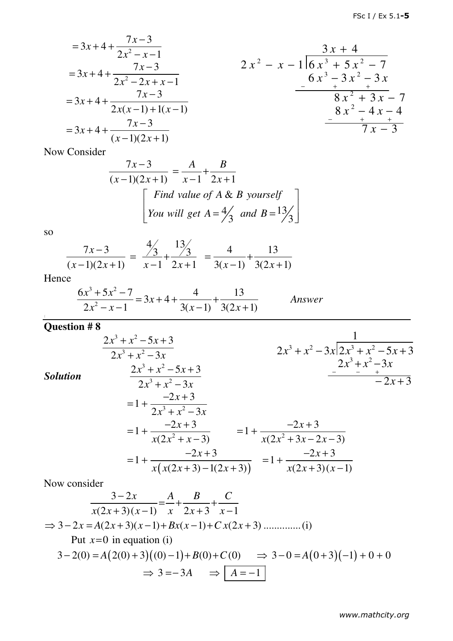$$
=3x+4+\frac{7x-3}{2x^2-x-1}
$$
  
\n
$$
=3x+4+\frac{7x-3}{2x^2-2x+x-1}
$$
  
\n
$$
=3x+4+\frac{7x-3}{2x(x-1)+1(x-1)}
$$
  
\n
$$
=3x+4+\frac{7x-3}{2x(x-1)+1(x-1)}
$$
  
\n
$$
=3x+4+\frac{7x-3}{(x-1)(2x+1)}
$$
  
\n
$$
=3x+4+\frac{7x-3}{(x-1)(2x+1)}
$$
  
\n
$$
=3x^2-4x-4
$$
  
\n
$$
=3x^2-4x-3
$$
  
\n
$$
=3x^2-4x-4
$$
  
\n
$$
=3x^2-4x-3
$$

Now Consider

$$
\frac{7x-3}{(x-1)(2x+1)} = \frac{A}{x-1} + \frac{B}{2x+1}
$$
  
Find value of A & B yourself  
You will get A =  $\frac{4}{3}$  and B =  $\frac{13}{3}$ 

so

$$
\frac{7x-3}{(x-1)(2x+1)} = \frac{\frac{4}{3}}{x-1} + \frac{\frac{13}{3}}{2x+1} = \frac{4}{3(x-1)} + \frac{13}{3(2x+1)}
$$

Hence

$$
\frac{6x^3 + 5x^2 - 7}{2x^2 - x - 1} = 3x + 4 + \frac{4}{3(x - 1)} + \frac{13}{3(2x + 1)}
$$
 Answer

**Question # 8**

*Solution* 

$$
\frac{2x^3 + x^2 - 5x + 3}{2x^3 + x^2 - 3x}
$$
\n
$$
\frac{2x^3 + x^2 - 5x + 3}{2x^3 + x^2 - 5x + 3}
$$
\n
$$
\frac{2x^3 + x^2 - 5x + 3}{2x^3 + x^2 - 3x}
$$
\n
$$
= 1 + \frac{-2x + 3}{2x^3 + x^2 - 3x}
$$
\n
$$
= 1 + \frac{-2x + 3}{x(2x^2 + x - 3)}
$$
\n
$$
= 1 + \frac{-2x + 3}{x(x(2x + 3) - 1(2x + 3))}
$$
\n
$$
= 1 + \frac{-2x + 3}{x(x(2x + 3) - 1(2x + 3))}
$$
\n
$$
= 1 + \frac{-2x + 3}{x(2x + 3)(x - 1)}
$$

Now consider

$$
\frac{3-2x}{x(2x+3)(x-1)} = \frac{A}{x} + \frac{B}{2x+3} + \frac{C}{x-1}
$$
  
\n
$$
\Rightarrow 3-2x = A(2x+3)(x-1) + Bx(x-1) + Cx(2x+3) \dots \dots \dots \dots (i)
$$
  
\nPut  $x=0$  in equation (i)  
\n
$$
3-2(0) = A(2(0)+3)((0)-1) + B(0) + C(0) \Rightarrow 3-0 = A(0+3)(-1) + 0 + 0
$$
  
\n
$$
\Rightarrow 3 = -3A \Rightarrow \boxed{A=-1}
$$

*www.mathcity.org*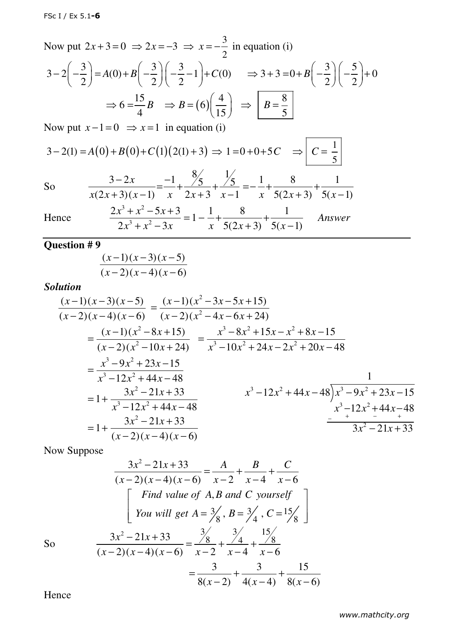Now put 
$$
2x+3=0 \Rightarrow 2x=-3 \Rightarrow x=-\frac{3}{2}
$$
 in equation (i)  
\n
$$
3-2\left(-\frac{3}{2}\right)=A(0)+B\left(-\frac{3}{2}\right)\left(-\frac{3}{2}-1\right)+C(0) \Rightarrow 3+3=0+B\left(-\frac{3}{2}\right)\left(-\frac{5}{2}\right)+0
$$
\n
$$
\Rightarrow 6=\frac{15}{4}B \Rightarrow B=(6)\left(\frac{4}{15}\right) \Rightarrow B=\frac{8}{5}
$$

Now put  $x-1=0 \implies x=1$  in equation (i)

$$
3 - 2(1) = A(0) + B(0) + C(1)(2(1) + 3) \Rightarrow 1 = 0 + 0 + 5C \Rightarrow C = \frac{1}{5}
$$

So

 $\frac{3-2x}{5} = \frac{-1}{1} + \frac{8}{5} + \frac{1}{5}$  $(2x+3)(x-1)$   $x$   $2x+3$   $x-1$ *x*  $x(2x+3)(x-1)$   $x$   $2x+3$  *x*  $-2x$  –  $=\frac{1}{2}+\frac{1}{2}+\frac{1}{2}+\frac{1}{2}+\frac{1}{2}+\frac{1}{2}+\frac{1}{2}+\frac{1}{2}+\frac{1}{2}+\frac{1}{2}+\frac{1}{2}+\frac{1}{2}+\frac{1}{2}+\frac{1}{2}+\frac{1}{2}+\frac{1}{2}+\frac{1}{2}+\frac{1}{2}+\frac{1}{2}+\frac{1}{2}+\frac{1}{2}+\frac{1}{2}+\frac{1}{2}+\frac{1}{2}+\frac{1}{2}+\frac{1}{2}+\frac{1}{2}+\frac{1}{2}+\frac{1}{2}+\frac{1}{2}+\frac{1}{2}+\frac{$  $(+3)(x-1)$  x 2x + 3 x - $1 \t 8 \t 1$  $x \quad 5(2x+3) \quad 5(x-1)$  $=$   $-$  +  $+$   $-$  +  $+3)$  5(x- $3 \times 2$ 

Hence

$$
\frac{2x^3 + x^2 - 5x + 3}{2x^3 + x^2 - 3x} = 1 - \frac{1}{x} + \frac{8}{5(2x+3)} + \frac{1}{5(x-1)}
$$
 Answer

**Question # 9** 

$$
\frac{(x-1)(x-3)(x-5)}{(x-2)(x-4)(x-6)}
$$

#### *Solution*

$$
\frac{(x-1)(x-3)(x-5)}{(x-2)(x-4)(x-6)} = \frac{(x-1)(x^2-3x-5x+15)}{(x-2)(x^2-4x-6x+24)}
$$
\n
$$
= \frac{(x-1)(x^2-8x+15)}{(x-2)(x^2-10x+24)} = \frac{x^3-8x^2+15x-x^2+8x-15}{x^3-10x^2+24x-2x^2+20x-48}
$$
\n
$$
= \frac{x^3-9x^2+23x-15}{x^3-12x^2+44x-48}
$$
\n
$$
= 1 + \frac{3x^2-21x+33}{x^3-12x^2+44x-48}
$$
\n
$$
= 1 + \frac{3x^2-21x+33}{(x-2)(x-4)(x-6)}
$$
\n
$$
= 1 + \frac{3x^2-21x+33}{(x-2)(x-4)(x-6)}
$$

Now Suppose

$$
\frac{3x^2 - 21x + 33}{(x - 2)(x - 4)(x - 6)} = \frac{A}{x - 2} + \frac{B}{x - 4} + \frac{C}{x - 6}
$$
  
\nFind value of A, B and C yourself  
\nYou will get A =  $\frac{3}{8}$ , B =  $\frac{3}{4}$ , C =  $\frac{15}{8}$   
\nSo  
\n
$$
\frac{3x^2 - 21x + 33}{(x - 2)(x - 4)(x - 6)} = \frac{\frac{3}{8}}{x - 2} + \frac{\frac{3}{4}}{x - 4} + \frac{\frac{15}{8}}{x - 6}
$$
  
\n
$$
= \frac{3}{8(x - 2)} + \frac{3}{4(x - 4)} + \frac{15}{8(x - 6)}
$$

So

Hence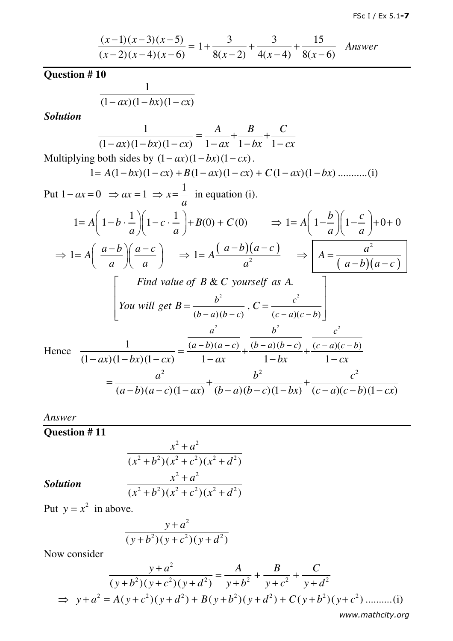$$
\frac{(x-1)(x-3)(x-5)}{(x-2)(x-4)(x-6)} = 1 + \frac{3}{8(x-2)} + \frac{3}{4(x-4)} + \frac{15}{8(x-6)}
$$
 Answer

**Question # 10** 

$$
\frac{1}{(1-ax)(1-bx)(1-cx)}
$$

*Solution* 

$$
\frac{1}{(1-ax)(1-bx)(1-cx)} = \frac{A}{1-ax} + \frac{B}{1-bx} + \frac{C}{1-cx}
$$

Multiplying both sides by 
$$
(1 - ax)(1 - bx)(1 - cx)
$$
.

$$
1 = A(1 - bx)(1 - cx) + B(1 - ax)(1 - cx) + C(1 - ax)(1 - bx) \dots \dots \dots \dots (i)
$$

Put 
$$
1-ax = 0 \Rightarrow ax = 1 \Rightarrow x = \frac{1}{a}
$$
 in equation (i).  
\n
$$
1 = A\left(1-b \cdot \frac{1}{a}\right)\left(1-c \cdot \frac{1}{a}\right) + B(0) + C(0) \Rightarrow 1 = A\left(1-\frac{b}{a}\right)\left(1-\frac{c}{a}\right) + 0 + 0
$$
\n
$$
\Rightarrow 1 = A\left(\frac{a-b}{a}\right)\left(\frac{a-c}{a}\right) \Rightarrow 1 = A\frac{(a-b)(a-c)}{a^2} \Rightarrow A = \frac{a^2}{(a-b)(a-c)}
$$
\nFind value of B & C yourself as A.

$$
\begin{bmatrix}\n\text{You will get } B = \frac{b^2}{(b-a)(b-c)}, \ C = \frac{c^2}{(c-a)(c-b)} \\
\frac{a^2}{(1-ax)(1-bx)(1-cx)} = \frac{\frac{a^2}{(a-b)(a-c)}}{1-ax} + \frac{\frac{b^2}{(b-a)(b-c)}}{1-bx} + \frac{\frac{c^2}{(c-a)(c-b)}}{1-cx}\n\end{bmatrix}
$$

Hence

$$
(1 - ax)(1 - bx)(1 - cx) \t 1 - ax \t 1 - bx \t 1 - cx
$$
  
= 
$$
\frac{a^2}{(a - b)(a - c)(1 - ax)} + \frac{b^2}{(b - a)(b - c)(1 - bx)} + \frac{c^2}{(c - a)(c - b)(1 - cx)}
$$

### *Answer*

**Question # 11** 

$$
\frac{x^2 + a^2}{(x^2 + b^2)(x^2 + c^2)(x^2 + d^2)}
$$

$$
\frac{x^2 + a^2}{(x^2 + b^2)(x^2 + c^2)(x^2 + d^2)}
$$

*Solution* 

Put  $y = x^2$  in above.

$$
\frac{y+a^2}{(y+b^2)(y+c^2)(y+d^2)}
$$

Now consider

$$
\frac{y+a^2}{(y+b^2)(y+c^2)(y+d^2)} = \frac{A}{y+b^2} + \frac{B}{y+c^2} + \frac{C}{y+d^2}
$$
  
\n
$$
\Rightarrow y+a^2 = A(y+c^2)(y+d^2) + B(y+b^2)(y+d^2) + C(y+b^2)(y+c^2) \dots \dots \dots (i)
$$

*www.mathcity.org*